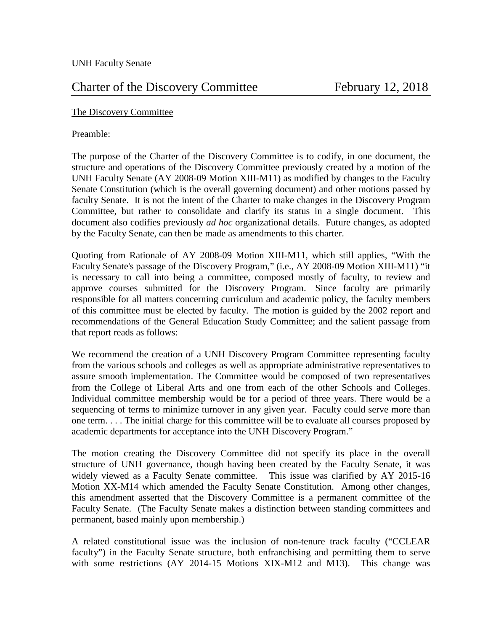# Charter of the Discovery Committee February 12, 2018

### The Discovery Committee

### Preamble:

The purpose of the Charter of the Discovery Committee is to codify, in one document, the structure and operations of the Discovery Committee previously created by a motion of the UNH Faculty Senate (AY 2008-09 Motion XIII-M11) as modified by changes to the Faculty Senate Constitution (which is the overall governing document) and other motions passed by faculty Senate. It is not the intent of the Charter to make changes in the Discovery Program Committee, but rather to consolidate and clarify its status in a single document. This document also codifies previously *ad hoc* organizational details. Future changes, as adopted by the Faculty Senate, can then be made as amendments to this charter.

Quoting from Rationale of AY 2008-09 Motion XIII-M11, which still applies, "With the Faculty Senate's passage of the Discovery Program," (i.e., AY 2008-09 Motion XIII-M11) "it is necessary to call into being a committee, composed mostly of faculty, to review and approve courses submitted for the Discovery Program. Since faculty are primarily responsible for all matters concerning curriculum and academic policy, the faculty members of this committee must be elected by faculty. The motion is guided by the 2002 report and recommendations of the General Education Study Committee; and the salient passage from that report reads as follows:

We recommend the creation of a UNH Discovery Program Committee representing faculty from the various schools and colleges as well as appropriate administrative representatives to assure smooth implementation. The Committee would be composed of two representatives from the College of Liberal Arts and one from each of the other Schools and Colleges. Individual committee membership would be for a period of three years. There would be a sequencing of terms to minimize turnover in any given year. Faculty could serve more than one term. . . . The initial charge for this committee will be to evaluate all courses proposed by academic departments for acceptance into the UNH Discovery Program."

The motion creating the Discovery Committee did not specify its place in the overall structure of UNH governance, though having been created by the Faculty Senate, it was widely viewed as a Faculty Senate committee. This issue was clarified by AY 2015-16 Motion XX-M14 which amended the Faculty Senate Constitution. Among other changes, this amendment asserted that the Discovery Committee is a permanent committee of the Faculty Senate. (The Faculty Senate makes a distinction between standing committees and permanent, based mainly upon membership.)

A related constitutional issue was the inclusion of non-tenure track faculty ("CCLEAR faculty") in the Faculty Senate structure, both enfranchising and permitting them to serve with some restrictions (AY 2014-15 Motions XIX-M12 and M13). This change was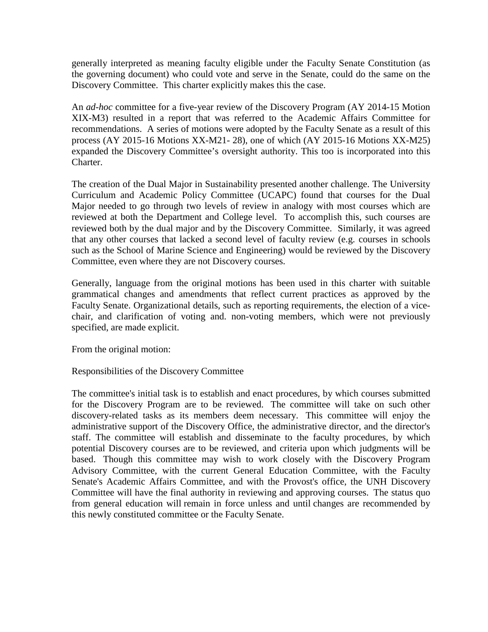generally interpreted as meaning faculty eligible under the Faculty Senate Constitution (as the governing document) who could vote and serve in the Senate, could do the same on the Discovery Committee. This charter explicitly makes this the case.

An *ad-hoc* committee for a five-year review of the Discovery Program (AY 2014-15 Motion XIX-M3) resulted in a report that was referred to the Academic Affairs Committee for recommendations. A series of motions were adopted by the Faculty Senate as a result of this process (AY 2015-16 Motions XX-M21- 28), one of which (AY 2015-16 Motions XX-M25) expanded the Discovery Committee's oversight authority. This too is incorporated into this Charter.

The creation of the Dual Major in Sustainability presented another challenge. The University Curriculum and Academic Policy Committee (UCAPC) found that courses for the Dual Major needed to go through two levels of review in analogy with most courses which are reviewed at both the Department and College level. To accomplish this, such courses are reviewed both by the dual major and by the Discovery Committee. Similarly, it was agreed that any other courses that lacked a second level of faculty review (e.g. courses in schools such as the School of Marine Science and Engineering) would be reviewed by the Discovery Committee, even where they are not Discovery courses.

Generally, language from the original motions has been used in this charter with suitable grammatical changes and amendments that reflect current practices as approved by the Faculty Senate. Organizational details, such as reporting requirements, the election of a vicechair, and clarification of voting and. non-voting members, which were not previously specified, are made explicit.

From the original motion:

Responsibilities of the Discovery Committee

The committee's initial task is to establish and enact procedures, by which courses submitted for the Discovery Program are to be reviewed. The committee will take on such other discovery-related tasks as its members deem necessary. This committee will enjoy the administrative support of the Discovery Office, the administrative director, and the director's staff. The committee will establish and disseminate to the faculty procedures, by which potential Discovery courses are to be reviewed, and criteria upon which judgments will be based. Though this committee may wish to work closely with the Discovery Program Advisory Committee, with the current General Education Committee, with the Faculty Senate's Academic Affairs Committee, and with the Provost's office, the UNH Discovery Committee will have the final authority in reviewing and approving courses. The status quo from general education will remain in force unless and until changes are recommended by this newly constituted committee or the Faculty Senate.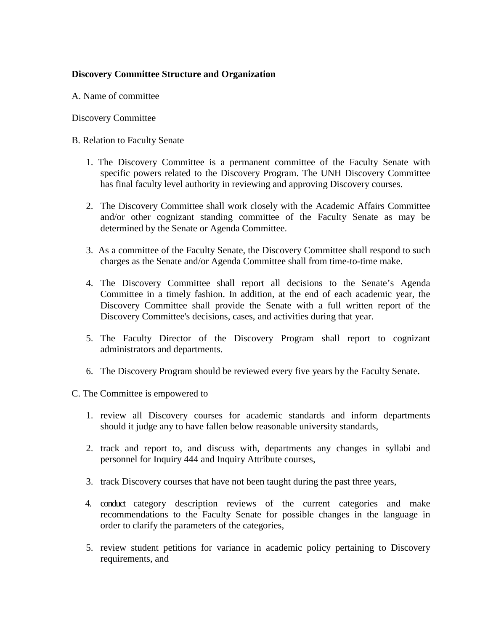# **Discovery Committee Structure and Organization**

A. Name of committee

Discovery Committee

#### B. Relation to Faculty Senate

- 1. The Discovery Committee is a permanent committee of the Faculty Senate with specific powers related to the Discovery Program. The UNH Discovery Committee has final faculty level authority in reviewing and approving Discovery courses.
- 2. The Discovery Committee shall work closely with the Academic Affairs Committee and/or other cognizant standing committee of the Faculty Senate as may be determined by the Senate or Agenda Committee.
- 3. As a committee of the Faculty Senate, the Discovery Committee shall respond to such charges as the Senate and/or Agenda Committee shall from time-to-time make.
- 4. The Discovery Committee shall report all decisions to the Senate's Agenda Committee in a timely fashion. In addition, at the end of each academic year, the Discovery Committee shall provide the Senate with a full written report of the Discovery Committee's decisions, cases, and activities during that year.
- 5. The Faculty Director of the Discovery Program shall report to cognizant administrators and departments.
- 6. The Discovery Program should be reviewed every five years by the Faculty Senate.

C. The Committee is empowered to

- 1. review all Discovery courses for academic standards and inform departments should it judge any to have fallen below reasonable university standards,
- 2. track and report to, and discuss with, departments any changes in syllabi and personnel for Inquiry 444 and Inquiry Attribute courses,
- 3. track Discovery courses that have not been taught during the past three years,
- 4. conduct category description reviews of the current categories and make recommendations to the Faculty Senate for possible changes in the language in order to clarify the parameters of the categories,
- 5. review student petitions for variance in academic policy pertaining to Discovery requirements, and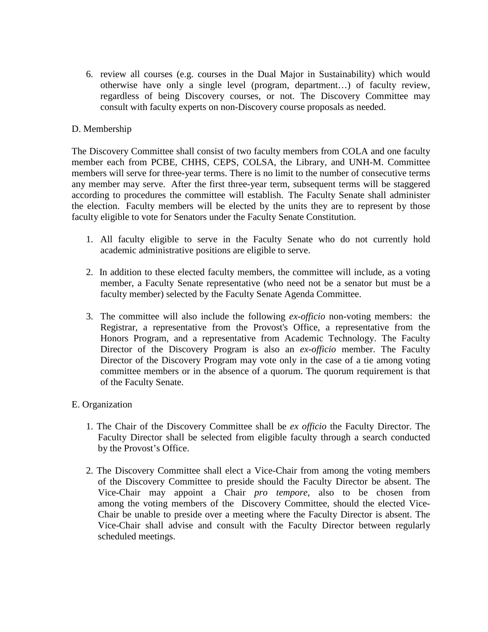6. review all courses (e.g. courses in the Dual Major in Sustainability) which would otherwise have only a single level (program, department…) of faculty review, regardless of being Discovery courses, or not. The Discovery Committee may consult with faculty experts on non-Discovery course proposals as needed.

## D. Membership

The Discovery Committee shall consist of two faculty members from COLA and one faculty member each from PCBE, CHHS, CEPS, COLSA, the Library, and UNH-M. Committee members will serve for three-year terms. There is no limit to the number of consecutive terms any member may serve. After the first three-year term, subsequent terms will be staggered according to procedures the committee will establish. The Faculty Senate shall administer the election. Faculty members will be elected by the units they are to represent by those faculty eligible to vote for Senators under the Faculty Senate Constitution.

- 1. All faculty eligible to serve in the Faculty Senate who do not currently hold academic administrative positions are eligible to serve.
- 2. In addition to these elected faculty members, the committee will include, as a voting member, a Faculty Senate representative (who need not be a senator but must be a faculty member) selected by the Faculty Senate Agenda Committee.
- 3. The committee will also include the following *ex-officio* non-voting members: the Registrar, a representative from the Provost's Office, a representative from the Honors Program, and a representative from Academic Technology. The Faculty Director of the Discovery Program is also an *ex-officio* member. The Faculty Director of the Discovery Program may vote only in the case of a tie among voting committee members or in the absence of a quorum. The quorum requirement is that of the Faculty Senate.

### E. Organization

- 1. The Chair of the Discovery Committee shall be *ex officio* the Faculty Director. The Faculty Director shall be selected from eligible faculty through a search conducted by the Provost's Office.
- 2. The Discovery Committee shall elect a Vice-Chair from among the voting members of the Discovery Committee to preside should the Faculty Director be absent. The Vice-Chair may appoint a Chair *pro tempore*, also to be chosen from among the voting members of the Discovery Committee, should the elected Vice- Chair be unable to preside over a meeting where the Faculty Director is absent. The Vice-Chair shall advise and consult with the Faculty Director between regularly scheduled meetings.